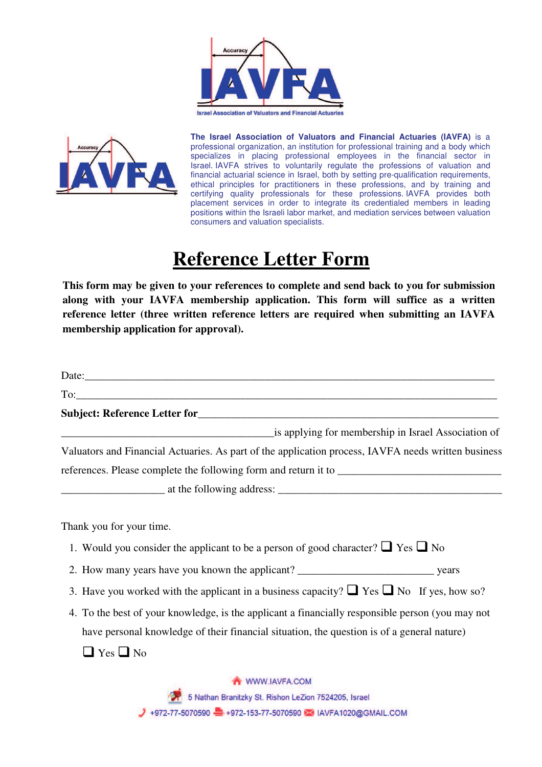



**The Israel Association of Valuators and Financial Actuaries (IAVFA)** is a professional organization, an institution for professional training and a body which specializes in placing professional employees in the financial sector in Israel. IAVFA strives to voluntarily regulate the professions of valuation and financial actuarial science in Israel, both by setting pre-qualification requirements, ethical principles for practitioners in these professions, and by training and certifying quality professionals for these professions. IAVFA provides both placement services in order to integrate its credentialed members in leading positions within the Israeli labor market, and mediation services between valuation consumers and valuation specialists.

## **Reference Letter Form**

**This form may be given to your references to complete and send back to you for submission along with your IAVFA membership application. This form will suffice as a written reference letter (three written reference letters are required when submitting an IAVFA membership application for approval).** 

| is applying for membership in Israel Association of                                                 |  |
|-----------------------------------------------------------------------------------------------------|--|
| Valuators and Financial Actuaries. As part of the application process, IAVFA needs written business |  |
|                                                                                                     |  |
|                                                                                                     |  |
| Thank you for your time.                                                                            |  |
| 1. Would you consider the applicant to be a person of good character? $\Box$ Yes $\Box$ No          |  |
|                                                                                                     |  |
| 3. Have you worked with the applicant in a business capacity? $\Box$ Yes $\Box$ No If yes, how so?  |  |
| 4. To the best of your knowledge, is the applicant a financially responsible person (you may not    |  |
| have personal knowledge of their financial situation, the question is of a general nature)          |  |
| $\Box$ Yes $\Box$ No                                                                                |  |
| WWW.IAVFA.COM                                                                                       |  |
| 5 Nathan Branitzky St. Rishon LeZion 7524205, Israel                                                |  |

→ +972-77-5070590 +972-153-77-5070590 → IAVFA1020@GMAIL.COM